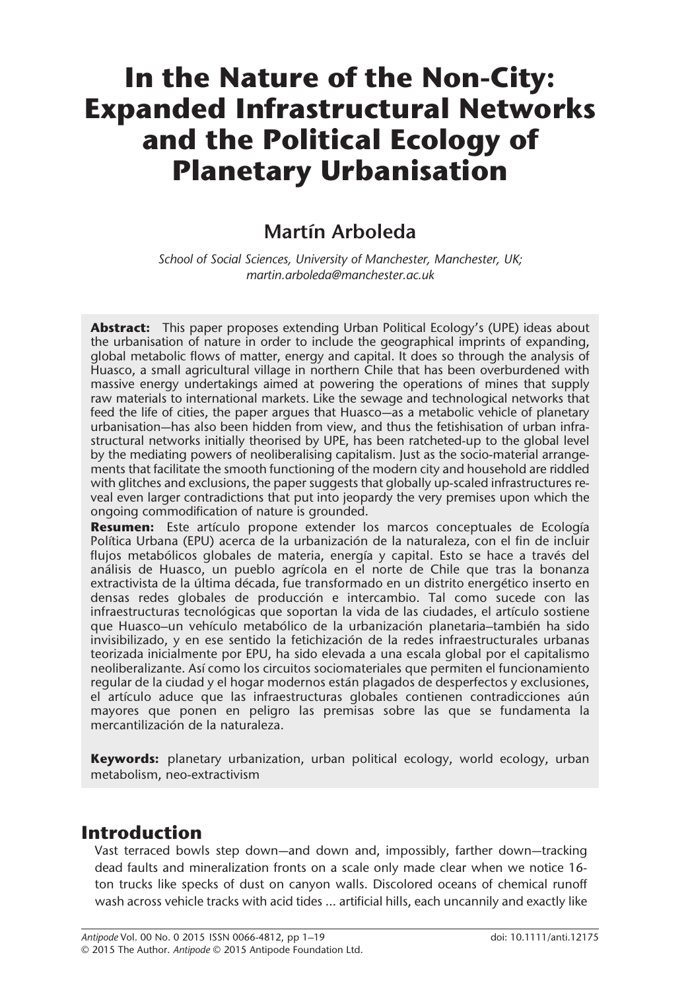# In the Nature of the Non-City: Expanded Infrastructural Networks and the Political Ecology of Planetary Urbanisation

## Martín Arboleda

School of Social Sciences, University of Manchester, Manchester, UK; martin.arboleda@manchester.ac.uk

Abstract: This paper proposes extending Urban Political Ecology's (UPE) ideas about the urbanisation of nature in order to include the geographical imprints of expanding, global metabolic flows of matter, energy and capital. It does so through the analysis of Huasco, a small agricultural village in northern Chile that has been overburdened with massive energy undertakings aimed at powering the operations of mines that supply raw materials to international markets. Like the sewage and technological networks that feed the life of cities, the paper argues that Huasco—as a metabolic vehicle of planetary urbanisation—has also been hidden from view, and thus the fetishisation of urban infrastructural networks initially theorised by UPE, has been ratcheted-up to the global level by the mediating powers of neoliberalising capitalism. Just as the socio-material arrangements that facilitate the smooth functioning of the modern city and household are riddled with glitches and exclusions, the paper suggests that globally up-scaled infrastructures reveal even larger contradictions that put into jeopardy the very premises upon which the ongoing commodification of nature is grounded.

Resumen: Este artículo propone extender los marcos conceptuales de Ecología Política Urbana (EPU) acerca de la urbanización de la naturaleza, con el fin de incluir flujos metabólicos globales de materia, energía y capital. Esto se hace a través del análisis de Huasco, un pueblo agrícola en el norte de Chile que tras la bonanza extractivista de la última década, fue transformado en un distrito energético inserto en densas redes globales de producción e intercambio. Tal como sucede con las infraestructuras tecnológicas que soportan la vida de las ciudades, el artículo sostiene que Huasco–un vehículo metabólico de la urbanización planetaria–también ha sido invisibilizado, y en ese sentido la fetichización de la redes infraestructurales urbanas teorizada inicialmente por EPU, ha sido elevada a una escala global por el capitalismo neoliberalizante. Así como los circuitos sociomateriales que permiten el funcionamiento regular de la ciudad y el hogar modernos están plagados de desperfectos y exclusiones, el artículo aduce que las infraestructuras globales contienen contradicciones aún mayores que ponen en peligro las premisas sobre las que se fundamenta la mercantilización de la naturaleza.

Keywords: planetary urbanization, urban political ecology, world ecology, urban metabolism, neo-extractivism

## Introduction

Vast terraced bowls step down—and down and, impossibly, farther down—tracking dead faults and mineralization fronts on a scale only made clear when we notice 16 ton trucks like specks of dust on canyon walls. Discolored oceans of chemical runoff wash across vehicle tracks with acid tides … artificial hills, each uncannily and exactly like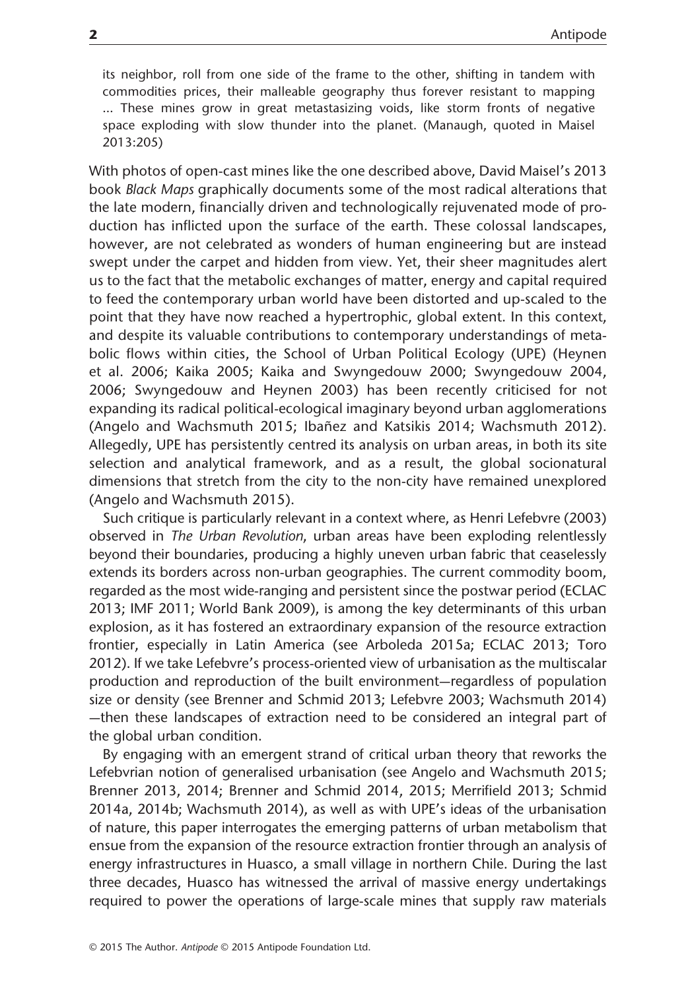its neighbor, roll from one side of the frame to the other, shifting in tandem with commodities prices, their malleable geography thus forever resistant to mapping … These mines grow in great metastasizing voids, like storm fronts of negative space exploding with slow thunder into the planet. (Manaugh, quoted in Maisel 2013:205)

With photos of open-cast mines like the one described above, David Maisel's 2013 book Black Maps graphically documents some of the most radical alterations that the late modern, financially driven and technologically rejuvenated mode of production has inflicted upon the surface of the earth. These colossal landscapes, however, are not celebrated as wonders of human engineering but are instead swept under the carpet and hidden from view. Yet, their sheer magnitudes alert us to the fact that the metabolic exchanges of matter, energy and capital required to feed the contemporary urban world have been distorted and up-scaled to the point that they have now reached a hypertrophic, global extent. In this context, and despite its valuable contributions to contemporary understandings of metabolic flows within cities, the School of Urban Political Ecology (UPE) (Heynen et al. 2006; Kaika 2005; Kaika and Swyngedouw 2000; Swyngedouw 2004, 2006; Swyngedouw and Heynen 2003) has been recently criticised for not expanding its radical political-ecological imaginary beyond urban agglomerations (Angelo and Wachsmuth 2015; Ibañez and Katsikis 2014; Wachsmuth 2012). Allegedly, UPE has persistently centred its analysis on urban areas, in both its site selection and analytical framework, and as a result, the global socionatural dimensions that stretch from the city to the non-city have remained unexplored (Angelo and Wachsmuth 2015).

Such critique is particularly relevant in a context where, as Henri Lefebvre (2003) observed in The Urban Revolution, urban areas have been exploding relentlessly beyond their boundaries, producing a highly uneven urban fabric that ceaselessly extends its borders across non-urban geographies. The current commodity boom, regarded as the most wide-ranging and persistent since the postwar period (ECLAC 2013; IMF 2011; World Bank 2009), is among the key determinants of this urban explosion, as it has fostered an extraordinary expansion of the resource extraction frontier, especially in Latin America (see Arboleda 2015a; ECLAC 2013; Toro 2012). If we take Lefebvre's process-oriented view of urbanisation as the multiscalar production and reproduction of the built environment—regardless of population size or density (see Brenner and Schmid 2013; Lefebvre 2003; Wachsmuth 2014) —then these landscapes of extraction need to be considered an integral part of the global urban condition.

By engaging with an emergent strand of critical urban theory that reworks the Lefebvrian notion of generalised urbanisation (see Angelo and Wachsmuth 2015; Brenner 2013, 2014; Brenner and Schmid 2014, 2015; Merrifield 2013; Schmid 2014a, 2014b; Wachsmuth 2014), as well as with UPE's ideas of the urbanisation of nature, this paper interrogates the emerging patterns of urban metabolism that ensue from the expansion of the resource extraction frontier through an analysis of energy infrastructures in Huasco, a small village in northern Chile. During the last three decades, Huasco has witnessed the arrival of massive energy undertakings required to power the operations of large-scale mines that supply raw materials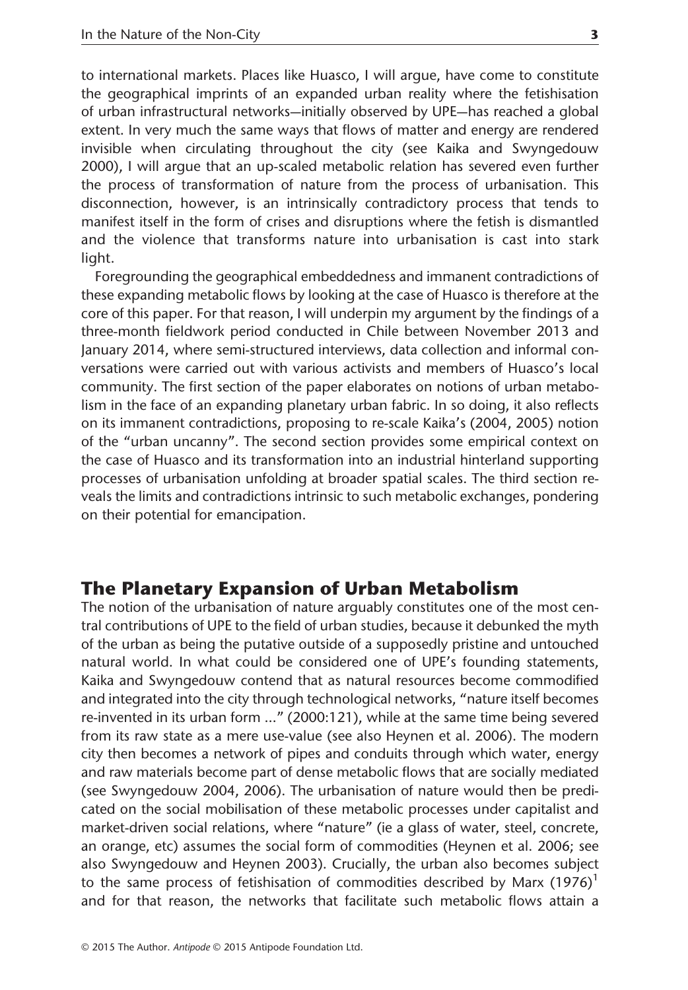to international markets. Places like Huasco, I will argue, have come to constitute the geographical imprints of an expanded urban reality where the fetishisation of urban infrastructural networks—initially observed by UPE—has reached a global extent. In very much the same ways that flows of matter and energy are rendered invisible when circulating throughout the city (see Kaika and Swyngedouw 2000), I will argue that an up-scaled metabolic relation has severed even further the process of transformation of nature from the process of urbanisation. This disconnection, however, is an intrinsically contradictory process that tends to manifest itself in the form of crises and disruptions where the fetish is dismantled and the violence that transforms nature into urbanisation is cast into stark light.

Foregrounding the geographical embeddedness and immanent contradictions of these expanding metabolic flows by looking at the case of Huasco is therefore at the core of this paper. For that reason, I will underpin my argument by the findings of a three-month fieldwork period conducted in Chile between November 2013 and January 2014, where semi-structured interviews, data collection and informal conversations were carried out with various activists and members of Huasco's local community. The first section of the paper elaborates on notions of urban metabolism in the face of an expanding planetary urban fabric. In so doing, it also reflects on its immanent contradictions, proposing to re-scale Kaika's (2004, 2005) notion of the "urban uncanny". The second section provides some empirical context on the case of Huasco and its transformation into an industrial hinterland supporting processes of urbanisation unfolding at broader spatial scales. The third section reveals the limits and contradictions intrinsic to such metabolic exchanges, pondering on their potential for emancipation.

#### The Planetary Expansion of Urban Metabolism

The notion of the urbanisation of nature arguably constitutes one of the most central contributions of UPE to the field of urban studies, because it debunked the myth of the urban as being the putative outside of a supposedly pristine and untouched natural world. In what could be considered one of UPE's founding statements, Kaika and Swyngedouw contend that as natural resources become commodified and integrated into the city through technological networks, "nature itself becomes re-invented in its urban form …" (2000:121), while at the same time being severed from its raw state as a mere use-value (see also Heynen et al. 2006). The modern city then becomes a network of pipes and conduits through which water, energy and raw materials become part of dense metabolic flows that are socially mediated (see Swyngedouw 2004, 2006). The urbanisation of nature would then be predicated on the social mobilisation of these metabolic processes under capitalist and market-driven social relations, where "nature" (ie a glass of water, steel, concrete, an orange, etc) assumes the social form of commodities (Heynen et al. 2006; see also Swyngedouw and Heynen 2003). Crucially, the urban also becomes subject to the same process of fetishisation of commodities described by Marx  $(1976)^{1}$ and for that reason, the networks that facilitate such metabolic flows attain a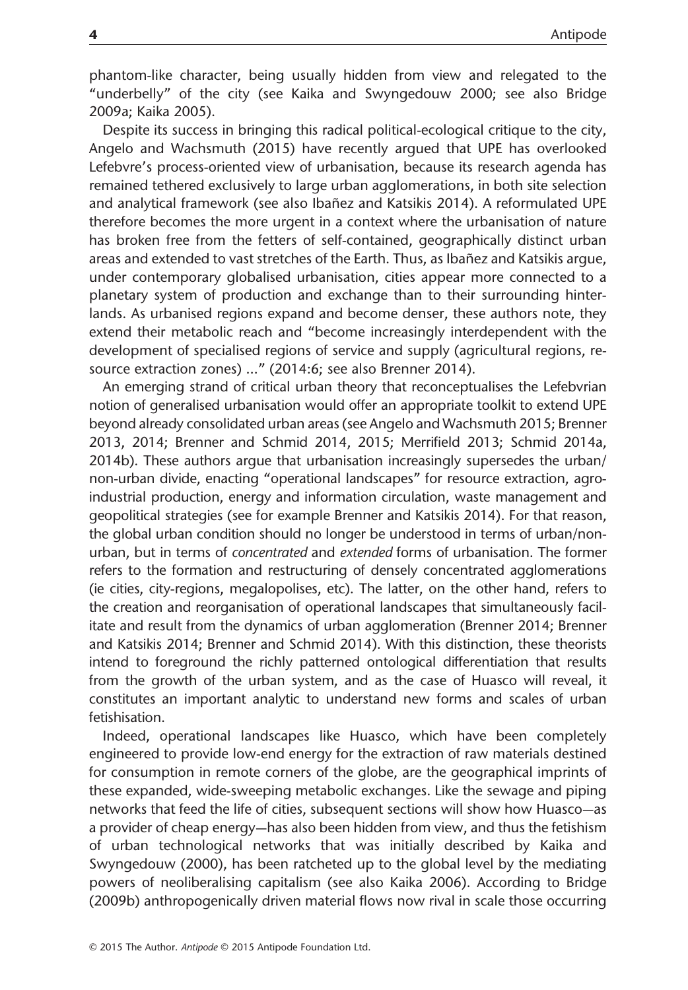phantom-like character, being usually hidden from view and relegated to the "underbelly" of the city (see Kaika and Swyngedouw 2000; see also Bridge 2009a; Kaika 2005).

Despite its success in bringing this radical political-ecological critique to the city, Angelo and Wachsmuth (2015) have recently argued that UPE has overlooked Lefebvre's process-oriented view of urbanisation, because its research agenda has remained tethered exclusively to large urban agglomerations, in both site selection and analytical framework (see also Ibañez and Katsikis 2014). A reformulated UPE therefore becomes the more urgent in a context where the urbanisation of nature has broken free from the fetters of self-contained, geographically distinct urban areas and extended to vast stretches of the Earth. Thus, as Ibañez and Katsikis argue, under contemporary globalised urbanisation, cities appear more connected to a planetary system of production and exchange than to their surrounding hinterlands. As urbanised regions expand and become denser, these authors note, they extend their metabolic reach and "become increasingly interdependent with the development of specialised regions of service and supply (agricultural regions, resource extraction zones) …" (2014:6; see also Brenner 2014).

An emerging strand of critical urban theory that reconceptualises the Lefebvrian notion of generalised urbanisation would offer an appropriate toolkit to extend UPE beyond already consolidated urban areas (see Angelo and Wachsmuth 2015; Brenner 2013, 2014; Brenner and Schmid 2014, 2015; Merrifield 2013; Schmid 2014a, 2014b). These authors argue that urbanisation increasingly supersedes the urban/ non-urban divide, enacting "operational landscapes" for resource extraction, agroindustrial production, energy and information circulation, waste management and geopolitical strategies (see for example Brenner and Katsikis 2014). For that reason, the global urban condition should no longer be understood in terms of urban/nonurban, but in terms of concentrated and extended forms of urbanisation. The former refers to the formation and restructuring of densely concentrated agglomerations (ie cities, city-regions, megalopolises, etc). The latter, on the other hand, refers to the creation and reorganisation of operational landscapes that simultaneously facilitate and result from the dynamics of urban agglomeration (Brenner 2014; Brenner and Katsikis 2014; Brenner and Schmid 2014). With this distinction, these theorists intend to foreground the richly patterned ontological differentiation that results from the growth of the urban system, and as the case of Huasco will reveal, it constitutes an important analytic to understand new forms and scales of urban fetishisation.

Indeed, operational landscapes like Huasco, which have been completely engineered to provide low-end energy for the extraction of raw materials destined for consumption in remote corners of the globe, are the geographical imprints of these expanded, wide-sweeping metabolic exchanges. Like the sewage and piping networks that feed the life of cities, subsequent sections will show how Huasco—as a provider of cheap energy—has also been hidden from view, and thus the fetishism of urban technological networks that was initially described by Kaika and Swyngedouw (2000), has been ratcheted up to the global level by the mediating powers of neoliberalising capitalism (see also Kaika 2006). According to Bridge (2009b) anthropogenically driven material flows now rival in scale those occurring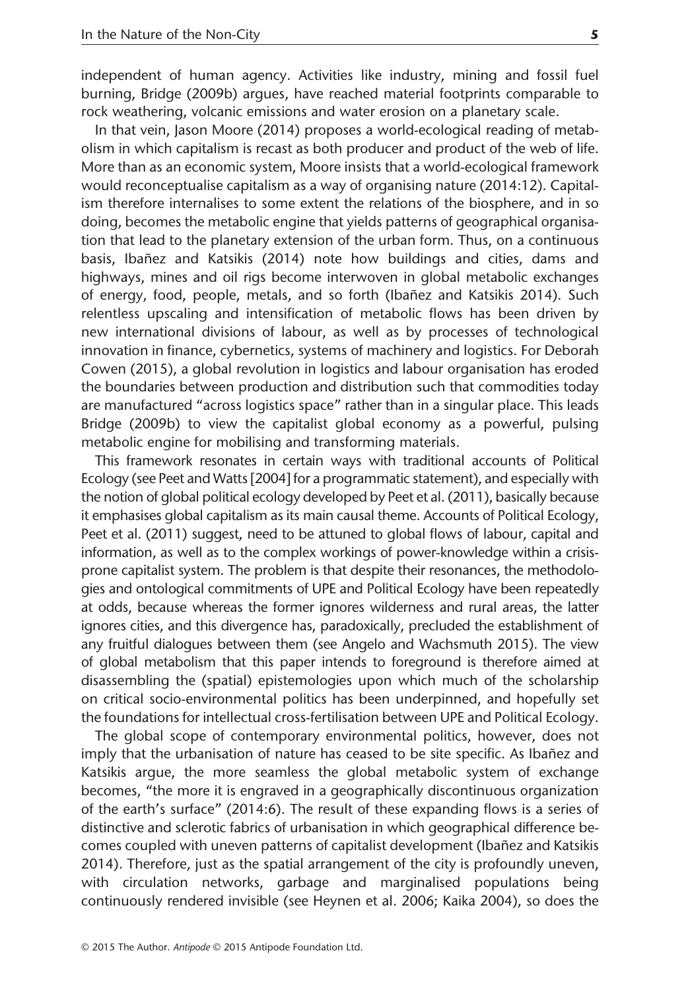independent of human agency. Activities like industry, mining and fossil fuel burning, Bridge (2009b) argues, have reached material footprints comparable to rock weathering, volcanic emissions and water erosion on a planetary scale.

In that vein, Jason Moore (2014) proposes a world-ecological reading of metabolism in which capitalism is recast as both producer and product of the web of life. More than as an economic system, Moore insists that a world-ecological framework would reconceptualise capitalism as a way of organising nature (2014:12). Capitalism therefore internalises to some extent the relations of the biosphere, and in so doing, becomes the metabolic engine that yields patterns of geographical organisation that lead to the planetary extension of the urban form. Thus, on a continuous basis, Ibañez and Katsikis (2014) note how buildings and cities, dams and highways, mines and oil rigs become interwoven in global metabolic exchanges of energy, food, people, metals, and so forth (Ibañez and Katsikis 2014). Such relentless upscaling and intensification of metabolic flows has been driven by new international divisions of labour, as well as by processes of technological innovation in finance, cybernetics, systems of machinery and logistics. For Deborah Cowen (2015), a global revolution in logistics and labour organisation has eroded the boundaries between production and distribution such that commodities today are manufactured "across logistics space" rather than in a singular place. This leads Bridge (2009b) to view the capitalist global economy as a powerful, pulsing metabolic engine for mobilising and transforming materials.

This framework resonates in certain ways with traditional accounts of Political Ecology (see Peet and Watts [2004] for a programmatic statement), and especially with the notion of global political ecology developed by Peet et al. (2011), basically because it emphasises global capitalism as its main causal theme. Accounts of Political Ecology, Peet et al. (2011) suggest, need to be attuned to global flows of labour, capital and information, as well as to the complex workings of power-knowledge within a crisisprone capitalist system. The problem is that despite their resonances, the methodologies and ontological commitments of UPE and Political Ecology have been repeatedly at odds, because whereas the former ignores wilderness and rural areas, the latter ignores cities, and this divergence has, paradoxically, precluded the establishment of any fruitful dialogues between them (see Angelo and Wachsmuth 2015). The view of global metabolism that this paper intends to foreground is therefore aimed at disassembling the (spatial) epistemologies upon which much of the scholarship on critical socio-environmental politics has been underpinned, and hopefully set the foundations for intellectual cross-fertilisation between UPE and Political Ecology.

The global scope of contemporary environmental politics, however, does not imply that the urbanisation of nature has ceased to be site specific. As Ibañez and Katsikis argue, the more seamless the global metabolic system of exchange becomes, "the more it is engraved in a geographically discontinuous organization of the earth's surface" (2014:6). The result of these expanding flows is a series of distinctive and sclerotic fabrics of urbanisation in which geographical difference becomes coupled with uneven patterns of capitalist development (Ibañez and Katsikis 2014). Therefore, just as the spatial arrangement of the city is profoundly uneven, with circulation networks, garbage and marginalised populations being continuously rendered invisible (see Heynen et al. 2006; Kaika 2004), so does the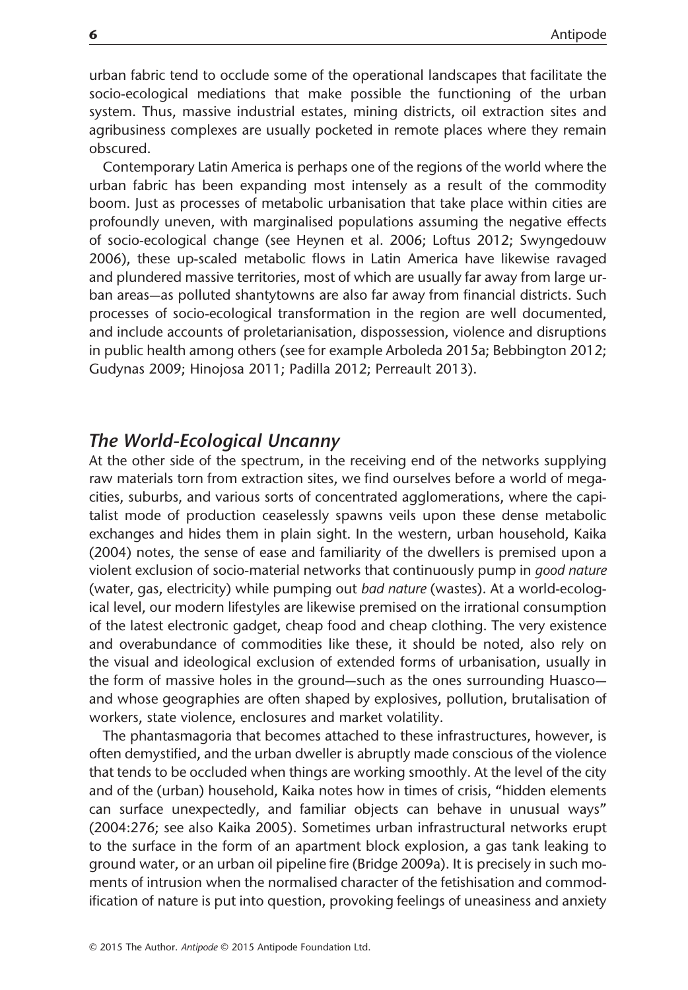urban fabric tend to occlude some of the operational landscapes that facilitate the socio-ecological mediations that make possible the functioning of the urban system. Thus, massive industrial estates, mining districts, oil extraction sites and agribusiness complexes are usually pocketed in remote places where they remain obscured.

Contemporary Latin America is perhaps one of the regions of the world where the urban fabric has been expanding most intensely as a result of the commodity boom. Just as processes of metabolic urbanisation that take place within cities are profoundly uneven, with marginalised populations assuming the negative effects of socio-ecological change (see Heynen et al. 2006; Loftus 2012; Swyngedouw 2006), these up-scaled metabolic flows in Latin America have likewise ravaged and plundered massive territories, most of which are usually far away from large urban areas—as polluted shantytowns are also far away from financial districts. Such processes of socio-ecological transformation in the region are well documented, and include accounts of proletarianisation, dispossession, violence and disruptions in public health among others (see for example Arboleda 2015a; Bebbington 2012; Gudynas 2009; Hinojosa 2011; Padilla 2012; Perreault 2013).

#### The World-Ecological Uncanny

At the other side of the spectrum, in the receiving end of the networks supplying raw materials torn from extraction sites, we find ourselves before a world of megacities, suburbs, and various sorts of concentrated agglomerations, where the capitalist mode of production ceaselessly spawns veils upon these dense metabolic exchanges and hides them in plain sight. In the western, urban household, Kaika (2004) notes, the sense of ease and familiarity of the dwellers is premised upon a violent exclusion of socio-material networks that continuously pump in good nature (water, gas, electricity) while pumping out *bad nature* (wastes). At a world-ecological level, our modern lifestyles are likewise premised on the irrational consumption of the latest electronic gadget, cheap food and cheap clothing. The very existence and overabundance of commodities like these, it should be noted, also rely on the visual and ideological exclusion of extended forms of urbanisation, usually in the form of massive holes in the ground—such as the ones surrounding Huasco and whose geographies are often shaped by explosives, pollution, brutalisation of workers, state violence, enclosures and market volatility.

The phantasmagoria that becomes attached to these infrastructures, however, is often demystified, and the urban dweller is abruptly made conscious of the violence that tends to be occluded when things are working smoothly. At the level of the city and of the (urban) household, Kaika notes how in times of crisis, "hidden elements can surface unexpectedly, and familiar objects can behave in unusual ways" (2004:276; see also Kaika 2005). Sometimes urban infrastructural networks erupt to the surface in the form of an apartment block explosion, a gas tank leaking to ground water, or an urban oil pipeline fire (Bridge 2009a). It is precisely in such moments of intrusion when the normalised character of the fetishisation and commodification of nature is put into question, provoking feelings of uneasiness and anxiety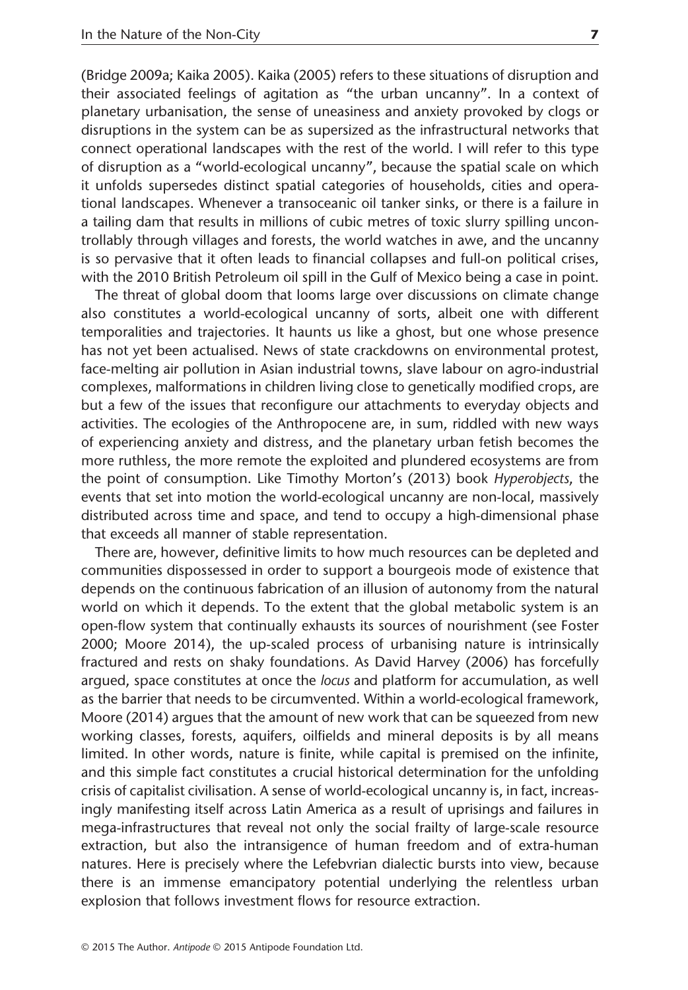(Bridge 2009a; Kaika 2005). Kaika (2005) refers to these situations of disruption and their associated feelings of agitation as "the urban uncanny". In a context of planetary urbanisation, the sense of uneasiness and anxiety provoked by clogs or disruptions in the system can be as supersized as the infrastructural networks that connect operational landscapes with the rest of the world. I will refer to this type of disruption as a "world-ecological uncanny", because the spatial scale on which it unfolds supersedes distinct spatial categories of households, cities and operational landscapes. Whenever a transoceanic oil tanker sinks, or there is a failure in a tailing dam that results in millions of cubic metres of toxic slurry spilling uncontrollably through villages and forests, the world watches in awe, and the uncanny is so pervasive that it often leads to financial collapses and full-on political crises, with the 2010 British Petroleum oil spill in the Gulf of Mexico being a case in point.

The threat of global doom that looms large over discussions on climate change also constitutes a world-ecological uncanny of sorts, albeit one with different temporalities and trajectories. It haunts us like a ghost, but one whose presence has not yet been actualised. News of state crackdowns on environmental protest, face-melting air pollution in Asian industrial towns, slave labour on agro-industrial complexes, malformations in children living close to genetically modified crops, are but a few of the issues that reconfigure our attachments to everyday objects and activities. The ecologies of the Anthropocene are, in sum, riddled with new ways of experiencing anxiety and distress, and the planetary urban fetish becomes the more ruthless, the more remote the exploited and plundered ecosystems are from the point of consumption. Like Timothy Morton's (2013) book Hyperobjects, the events that set into motion the world-ecological uncanny are non-local, massively distributed across time and space, and tend to occupy a high-dimensional phase that exceeds all manner of stable representation.

There are, however, definitive limits to how much resources can be depleted and communities dispossessed in order to support a bourgeois mode of existence that depends on the continuous fabrication of an illusion of autonomy from the natural world on which it depends. To the extent that the global metabolic system is an open-flow system that continually exhausts its sources of nourishment (see Foster 2000; Moore 2014), the up-scaled process of urbanising nature is intrinsically fractured and rests on shaky foundations. As David Harvey (2006) has forcefully argued, space constitutes at once the locus and platform for accumulation, as well as the barrier that needs to be circumvented. Within a world-ecological framework, Moore (2014) argues that the amount of new work that can be squeezed from new working classes, forests, aquifers, oilfields and mineral deposits is by all means limited. In other words, nature is finite, while capital is premised on the infinite, and this simple fact constitutes a crucial historical determination for the unfolding crisis of capitalist civilisation. A sense of world-ecological uncanny is, in fact, increasingly manifesting itself across Latin America as a result of uprisings and failures in mega-infrastructures that reveal not only the social frailty of large-scale resource extraction, but also the intransigence of human freedom and of extra-human natures. Here is precisely where the Lefebvrian dialectic bursts into view, because there is an immense emancipatory potential underlying the relentless urban explosion that follows investment flows for resource extraction.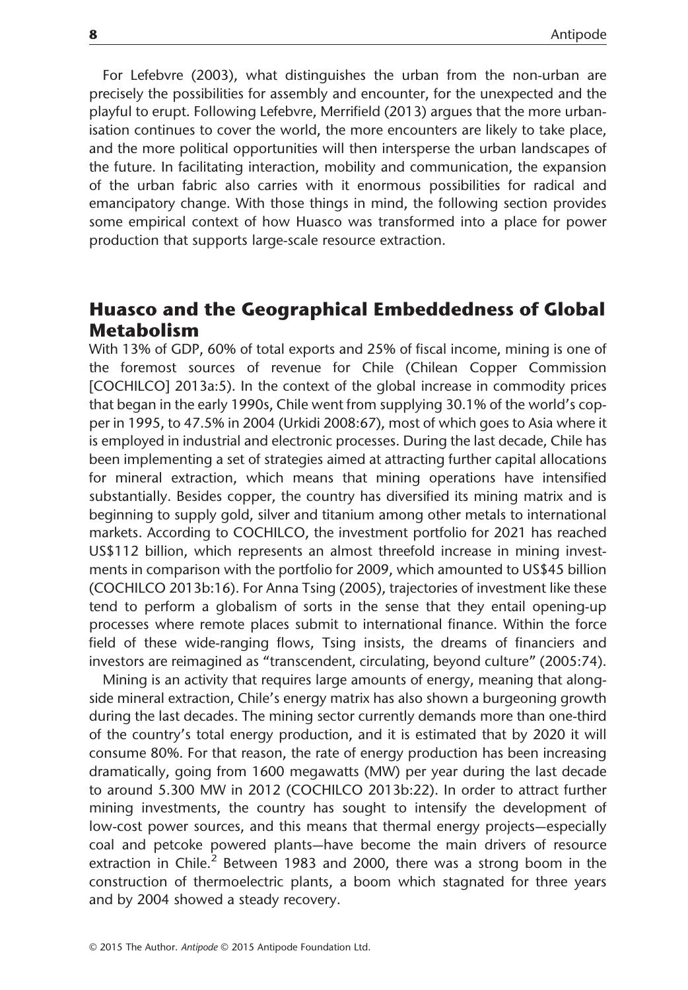For Lefebvre (2003), what distinguishes the urban from the non-urban are precisely the possibilities for assembly and encounter, for the unexpected and the playful to erupt. Following Lefebvre, Merrifield (2013) argues that the more urbanisation continues to cover the world, the more encounters are likely to take place, and the more political opportunities will then intersperse the urban landscapes of the future. In facilitating interaction, mobility and communication, the expansion of the urban fabric also carries with it enormous possibilities for radical and emancipatory change. With those things in mind, the following section provides some empirical context of how Huasco was transformed into a place for power production that supports large-scale resource extraction.

### Huasco and the Geographical Embeddedness of Global Metabolism

With 13% of GDP, 60% of total exports and 25% of fiscal income, mining is one of the foremost sources of revenue for Chile (Chilean Copper Commission [COCHILCO] 2013a:5). In the context of the global increase in commodity prices that began in the early 1990s, Chile went from supplying 30.1% of the world's copper in 1995, to 47.5% in 2004 (Urkidi 2008:67), most of which goes to Asia where it is employed in industrial and electronic processes. During the last decade, Chile has been implementing a set of strategies aimed at attracting further capital allocations for mineral extraction, which means that mining operations have intensified substantially. Besides copper, the country has diversified its mining matrix and is beginning to supply gold, silver and titanium among other metals to international markets. According to COCHILCO, the investment portfolio for 2021 has reached US\$112 billion, which represents an almost threefold increase in mining investments in comparison with the portfolio for 2009, which amounted to US\$45 billion (COCHILCO 2013b:16). For Anna Tsing (2005), trajectories of investment like these tend to perform a globalism of sorts in the sense that they entail opening-up processes where remote places submit to international finance. Within the force field of these wide-ranging flows, Tsing insists, the dreams of financiers and investors are reimagined as "transcendent, circulating, beyond culture" (2005:74).

Mining is an activity that requires large amounts of energy, meaning that alongside mineral extraction, Chile's energy matrix has also shown a burgeoning growth during the last decades. The mining sector currently demands more than one-third of the country's total energy production, and it is estimated that by 2020 it will consume 80%. For that reason, the rate of energy production has been increasing dramatically, going from 1600 megawatts (MW) per year during the last decade to around 5.300 MW in 2012 (COCHILCO 2013b:22). In order to attract further mining investments, the country has sought to intensify the development of low-cost power sources, and this means that thermal energy projects—especially coal and petcoke powered plants—have become the main drivers of resource extraction in Chile.<sup>2</sup> Between 1983 and 2000, there was a strong boom in the construction of thermoelectric plants, a boom which stagnated for three years and by 2004 showed a steady recovery.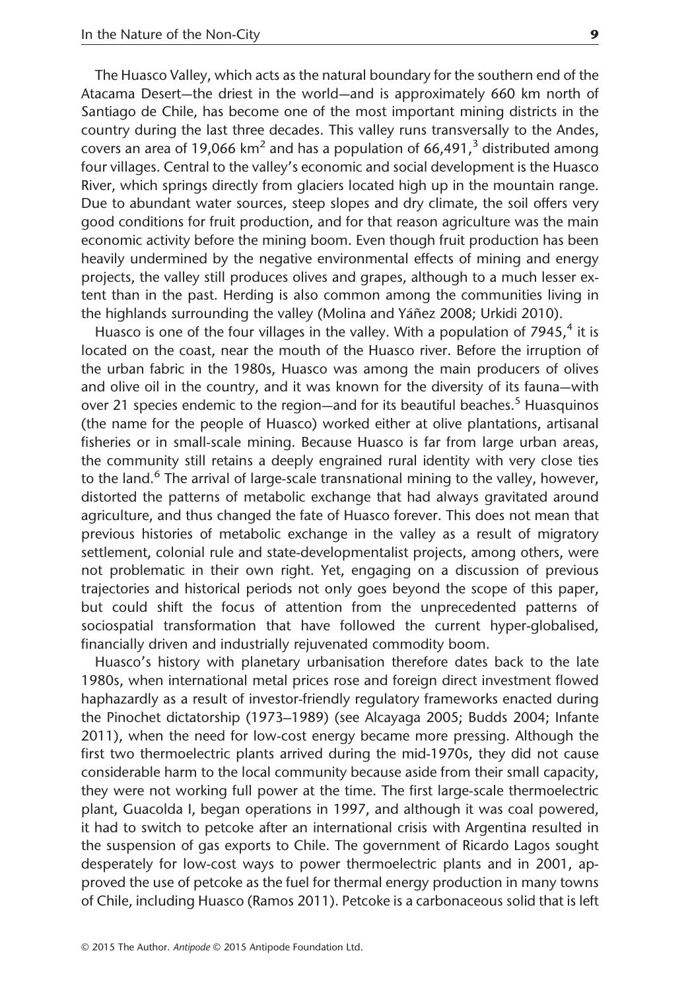The Huasco Valley, which acts as the natural boundary for the southern end of the Atacama Desert—the driest in the world—and is approximately 660 km north of Santiago de Chile, has become one of the most important mining districts in the country during the last three decades. This valley runs transversally to the Andes, covers an area of 19,066 km<sup>2</sup> and has a population of 66,491,<sup>3</sup> distributed among four villages. Central to the valley's economic and social development is the Huasco River, which springs directly from glaciers located high up in the mountain range. Due to abundant water sources, steep slopes and dry climate, the soil offers very good conditions for fruit production, and for that reason agriculture was the main economic activity before the mining boom. Even though fruit production has been heavily undermined by the negative environmental effects of mining and energy projects, the valley still produces olives and grapes, although to a much lesser extent than in the past. Herding is also common among the communities living in the highlands surrounding the valley (Molina and Yáñez 2008; Urkidi 2010).

Huasco is one of the four villages in the valley. With a population of  $7945<sup>4</sup>$  it is located on the coast, near the mouth of the Huasco river. Before the irruption of the urban fabric in the 1980s, Huasco was among the main producers of olives and olive oil in the country, and it was known for the diversity of its fauna—with over 21 species endemic to the region—and for its beautiful beaches.<sup>5</sup> Huasquinos (the name for the people of Huasco) worked either at olive plantations, artisanal fisheries or in small-scale mining. Because Huasco is far from large urban areas, the community still retains a deeply engrained rural identity with very close ties to the land.<sup>6</sup> The arrival of large-scale transnational mining to the valley, however, distorted the patterns of metabolic exchange that had always gravitated around agriculture, and thus changed the fate of Huasco forever. This does not mean that previous histories of metabolic exchange in the valley as a result of migratory settlement, colonial rule and state-developmentalist projects, among others, were not problematic in their own right. Yet, engaging on a discussion of previous trajectories and historical periods not only goes beyond the scope of this paper, but could shift the focus of attention from the unprecedented patterns of sociospatial transformation that have followed the current hyper-globalised, financially driven and industrially rejuvenated commodity boom.

Huasco's history with planetary urbanisation therefore dates back to the late 1980s, when international metal prices rose and foreign direct investment flowed haphazardly as a result of investor-friendly regulatory frameworks enacted during the Pinochet dictatorship (1973–1989) (see Alcayaga 2005; Budds 2004; Infante 2011), when the need for low-cost energy became more pressing. Although the first two thermoelectric plants arrived during the mid-1970s, they did not cause considerable harm to the local community because aside from their small capacity, they were not working full power at the time. The first large-scale thermoelectric plant, Guacolda I, began operations in 1997, and although it was coal powered, it had to switch to petcoke after an international crisis with Argentina resulted in the suspension of gas exports to Chile. The government of Ricardo Lagos sought desperately for low-cost ways to power thermoelectric plants and in 2001, approved the use of petcoke as the fuel for thermal energy production in many towns of Chile, including Huasco (Ramos 2011). Petcoke is a carbonaceous solid that is left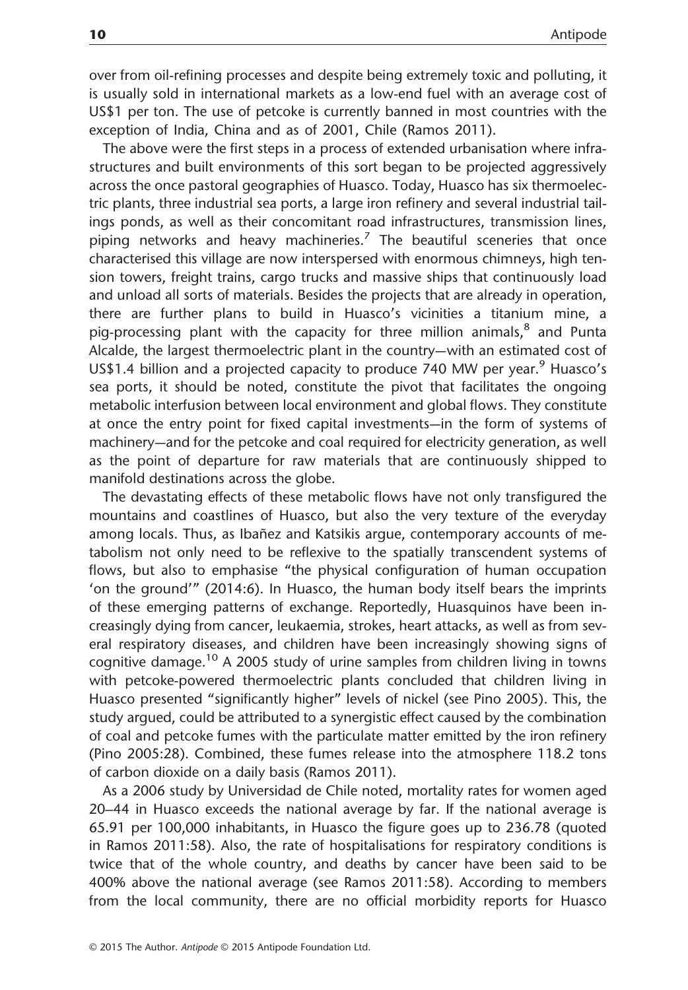over from oil-refining processes and despite being extremely toxic and polluting, it is usually sold in international markets as a low-end fuel with an average cost of US\$1 per ton. The use of petcoke is currently banned in most countries with the exception of India, China and as of 2001, Chile (Ramos 2011).

The above were the first steps in a process of extended urbanisation where infrastructures and built environments of this sort began to be projected aggressively across the once pastoral geographies of Huasco. Today, Huasco has six thermoelectric plants, three industrial sea ports, a large iron refinery and several industrial tailings ponds, as well as their concomitant road infrastructures, transmission lines, piping networks and heavy machineries.<sup>7</sup> The beautiful sceneries that once characterised this village are now interspersed with enormous chimneys, high tension towers, freight trains, cargo trucks and massive ships that continuously load and unload all sorts of materials. Besides the projects that are already in operation, there are further plans to build in Huasco's vicinities a titanium mine, a pig-processing plant with the capacity for three million animals, $<sup>8</sup>$  and Punta</sup> Alcalde, the largest thermoelectric plant in the country—with an estimated cost of US\$1.4 billion and a projected capacity to produce 740 MW per year.<sup>9</sup> Huasco's sea ports, it should be noted, constitute the pivot that facilitates the ongoing metabolic interfusion between local environment and global flows. They constitute at once the entry point for fixed capital investments—in the form of systems of machinery—and for the petcoke and coal required for electricity generation, as well as the point of departure for raw materials that are continuously shipped to manifold destinations across the globe.

The devastating effects of these metabolic flows have not only transfigured the mountains and coastlines of Huasco, but also the very texture of the everyday among locals. Thus, as Ibañez and Katsikis argue, contemporary accounts of metabolism not only need to be reflexive to the spatially transcendent systems of flows, but also to emphasise "the physical configuration of human occupation 'on the ground'" (2014:6). In Huasco, the human body itself bears the imprints of these emerging patterns of exchange. Reportedly, Huasquinos have been increasingly dying from cancer, leukaemia, strokes, heart attacks, as well as from several respiratory diseases, and children have been increasingly showing signs of cognitive damage.<sup>10</sup> A 2005 study of urine samples from children living in towns with petcoke-powered thermoelectric plants concluded that children living in Huasco presented "significantly higher" levels of nickel (see Pino 2005). This, the study argued, could be attributed to a synergistic effect caused by the combination of coal and petcoke fumes with the particulate matter emitted by the iron refinery (Pino 2005:28). Combined, these fumes release into the atmosphere 118.2 tons of carbon dioxide on a daily basis (Ramos 2011).

As a 2006 study by Universidad de Chile noted, mortality rates for women aged 20–44 in Huasco exceeds the national average by far. If the national average is 65.91 per 100,000 inhabitants, in Huasco the figure goes up to 236.78 (quoted in Ramos 2011:58). Also, the rate of hospitalisations for respiratory conditions is twice that of the whole country, and deaths by cancer have been said to be 400% above the national average (see Ramos 2011:58). According to members from the local community, there are no official morbidity reports for Huasco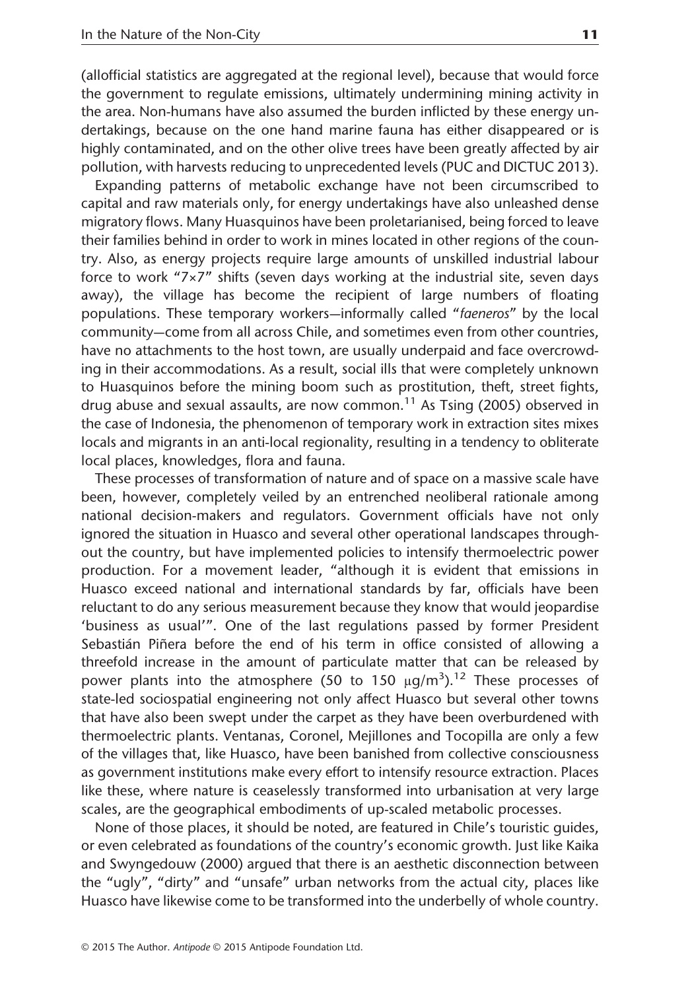(allofficial statistics are aggregated at the regional level), because that would force the government to regulate emissions, ultimately undermining mining activity in the area. Non-humans have also assumed the burden inflicted by these energy undertakings, because on the one hand marine fauna has either disappeared or is highly contaminated, and on the other olive trees have been greatly affected by air pollution, with harvests reducing to unprecedented levels (PUC and DICTUC 2013).

Expanding patterns of metabolic exchange have not been circumscribed to capital and raw materials only, for energy undertakings have also unleashed dense migratory flows. Many Huasquinos have been proletarianised, being forced to leave their families behind in order to work in mines located in other regions of the country. Also, as energy projects require large amounts of unskilled industrial labour force to work "7×7" shifts (seven days working at the industrial site, seven days away), the village has become the recipient of large numbers of floating populations. These temporary workers—informally called "faeneros" by the local community—come from all across Chile, and sometimes even from other countries, have no attachments to the host town, are usually underpaid and face overcrowding in their accommodations. As a result, social ills that were completely unknown to Huasquinos before the mining boom such as prostitution, theft, street fights, drug abuse and sexual assaults, are now common.<sup>11</sup> As Tsing (2005) observed in the case of Indonesia, the phenomenon of temporary work in extraction sites mixes locals and migrants in an anti-local regionality, resulting in a tendency to obliterate local places, knowledges, flora and fauna.

These processes of transformation of nature and of space on a massive scale have been, however, completely veiled by an entrenched neoliberal rationale among national decision-makers and regulators. Government officials have not only ignored the situation in Huasco and several other operational landscapes throughout the country, but have implemented policies to intensify thermoelectric power production. For a movement leader, "although it is evident that emissions in Huasco exceed national and international standards by far, officials have been reluctant to do any serious measurement because they know that would jeopardise 'business as usual'". One of the last regulations passed by former President Sebastián Piñera before the end of his term in office consisted of allowing a threefold increase in the amount of particulate matter that can be released by power plants into the atmosphere (50 to 150  $\mu$ g/m<sup>3</sup>).<sup>12</sup> These processes of state-led sociospatial engineering not only affect Huasco but several other towns that have also been swept under the carpet as they have been overburdened with thermoelectric plants. Ventanas, Coronel, Mejillones and Tocopilla are only a few of the villages that, like Huasco, have been banished from collective consciousness as government institutions make every effort to intensify resource extraction. Places like these, where nature is ceaselessly transformed into urbanisation at very large scales, are the geographical embodiments of up-scaled metabolic processes.

None of those places, it should be noted, are featured in Chile's touristic guides, or even celebrated as foundations of the country's economic growth. Just like Kaika and Swyngedouw (2000) argued that there is an aesthetic disconnection between the "ugly", "dirty" and "unsafe" urban networks from the actual city, places like Huasco have likewise come to be transformed into the underbelly of whole country.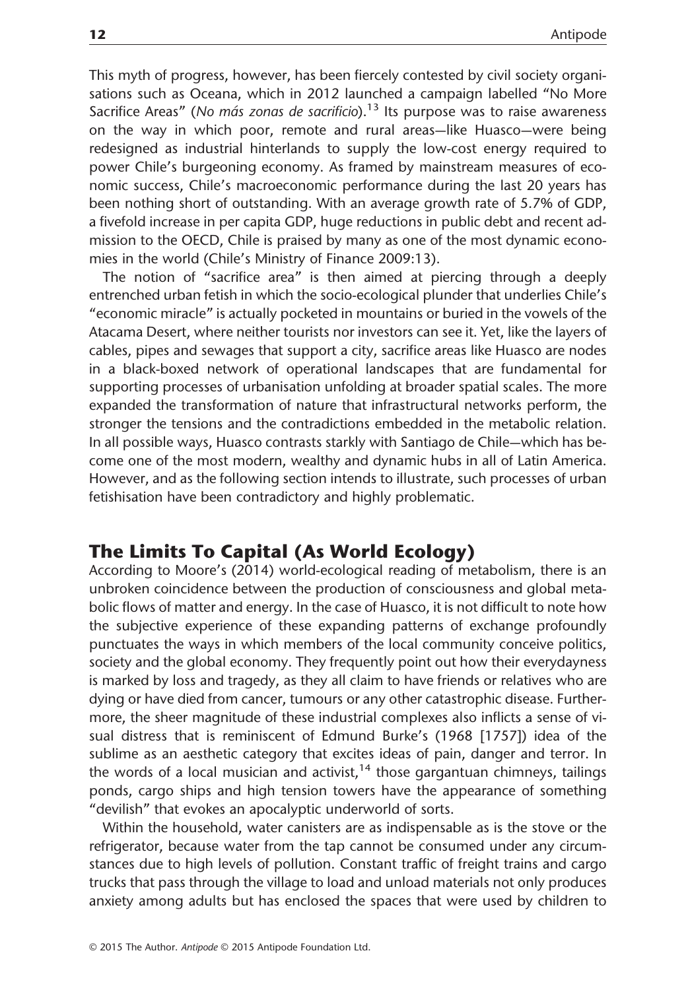This myth of progress, however, has been fiercely contested by civil society organisations such as Oceana, which in 2012 launched a campaign labelled "No More Sacrifice Areas" (No más zonas de sacrificio).<sup>13</sup> Its purpose was to raise awareness on the way in which poor, remote and rural areas—like Huasco—were being redesigned as industrial hinterlands to supply the low-cost energy required to power Chile's burgeoning economy. As framed by mainstream measures of economic success, Chile's macroeconomic performance during the last 20 years has been nothing short of outstanding. With an average growth rate of 5.7% of GDP, a fivefold increase in per capita GDP, huge reductions in public debt and recent admission to the OECD, Chile is praised by many as one of the most dynamic economies in the world (Chile's Ministry of Finance 2009:13).

The notion of "sacrifice area" is then aimed at piercing through a deeply entrenched urban fetish in which the socio-ecological plunder that underlies Chile's "economic miracle" is actually pocketed in mountains or buried in the vowels of the Atacama Desert, where neither tourists nor investors can see it. Yet, like the layers of cables, pipes and sewages that support a city, sacrifice areas like Huasco are nodes in a black-boxed network of operational landscapes that are fundamental for supporting processes of urbanisation unfolding at broader spatial scales. The more expanded the transformation of nature that infrastructural networks perform, the stronger the tensions and the contradictions embedded in the metabolic relation. In all possible ways, Huasco contrasts starkly with Santiago de Chile—which has become one of the most modern, wealthy and dynamic hubs in all of Latin America. However, and as the following section intends to illustrate, such processes of urban fetishisation have been contradictory and highly problematic.

#### The Limits To Capital (As World Ecology)

According to Moore's (2014) world-ecological reading of metabolism, there is an unbroken coincidence between the production of consciousness and global metabolic flows of matter and energy. In the case of Huasco, it is not difficult to note how the subjective experience of these expanding patterns of exchange profoundly punctuates the ways in which members of the local community conceive politics, society and the global economy. They frequently point out how their everydayness is marked by loss and tragedy, as they all claim to have friends or relatives who are dying or have died from cancer, tumours or any other catastrophic disease. Furthermore, the sheer magnitude of these industrial complexes also inflicts a sense of visual distress that is reminiscent of Edmund Burke's (1968 [1757]) idea of the sublime as an aesthetic category that excites ideas of pain, danger and terror. In the words of a local musician and activist,<sup>14</sup> those gargantuan chimneys, tailings ponds, cargo ships and high tension towers have the appearance of something "devilish" that evokes an apocalyptic underworld of sorts.

Within the household, water canisters are as indispensable as is the stove or the refrigerator, because water from the tap cannot be consumed under any circumstances due to high levels of pollution. Constant traffic of freight trains and cargo trucks that pass through the village to load and unload materials not only produces anxiety among adults but has enclosed the spaces that were used by children to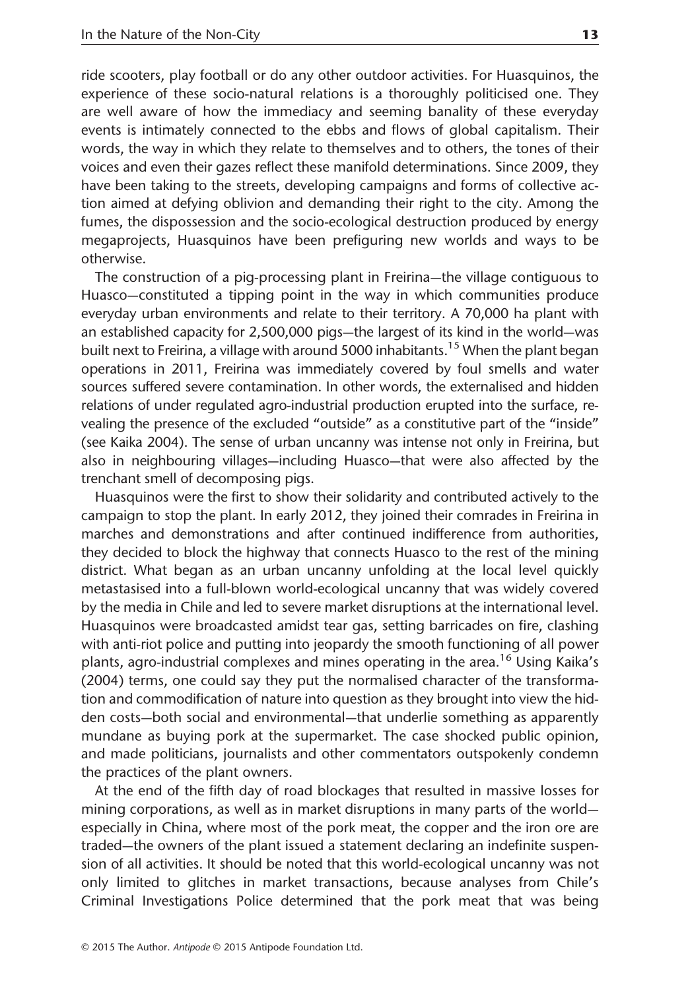ride scooters, play football or do any other outdoor activities. For Huasquinos, the experience of these socio-natural relations is a thoroughly politicised one. They are well aware of how the immediacy and seeming banality of these everyday events is intimately connected to the ebbs and flows of global capitalism. Their words, the way in which they relate to themselves and to others, the tones of their voices and even their gazes reflect these manifold determinations. Since 2009, they have been taking to the streets, developing campaigns and forms of collective action aimed at defying oblivion and demanding their right to the city. Among the fumes, the dispossession and the socio-ecological destruction produced by energy megaprojects, Huasquinos have been prefiguring new worlds and ways to be otherwise.

The construction of a pig-processing plant in Freirina—the village contiguous to Huasco—constituted a tipping point in the way in which communities produce everyday urban environments and relate to their territory. A 70,000 ha plant with an established capacity for 2,500,000 pigs—the largest of its kind in the world—was built next to Freirina, a village with around 5000 inhabitants.<sup>15</sup> When the plant began operations in 2011, Freirina was immediately covered by foul smells and water sources suffered severe contamination. In other words, the externalised and hidden relations of under regulated agro-industrial production erupted into the surface, revealing the presence of the excluded "outside" as a constitutive part of the "inside" (see Kaika 2004). The sense of urban uncanny was intense not only in Freirina, but also in neighbouring villages—including Huasco—that were also affected by the trenchant smell of decomposing pigs.

Huasquinos were the first to show their solidarity and contributed actively to the campaign to stop the plant. In early 2012, they joined their comrades in Freirina in marches and demonstrations and after continued indifference from authorities, they decided to block the highway that connects Huasco to the rest of the mining district. What began as an urban uncanny unfolding at the local level quickly metastasised into a full-blown world-ecological uncanny that was widely covered by the media in Chile and led to severe market disruptions at the international level. Huasquinos were broadcasted amidst tear gas, setting barricades on fire, clashing with anti-riot police and putting into jeopardy the smooth functioning of all power plants, agro-industrial complexes and mines operating in the area.<sup>16</sup> Using Kaika's (2004) terms, one could say they put the normalised character of the transformation and commodification of nature into question as they brought into view the hidden costs—both social and environmental—that underlie something as apparently mundane as buying pork at the supermarket. The case shocked public opinion, and made politicians, journalists and other commentators outspokenly condemn the practices of the plant owners.

At the end of the fifth day of road blockages that resulted in massive losses for mining corporations, as well as in market disruptions in many parts of the world especially in China, where most of the pork meat, the copper and the iron ore are traded—the owners of the plant issued a statement declaring an indefinite suspension of all activities. It should be noted that this world-ecological uncanny was not only limited to glitches in market transactions, because analyses from Chile's Criminal Investigations Police determined that the pork meat that was being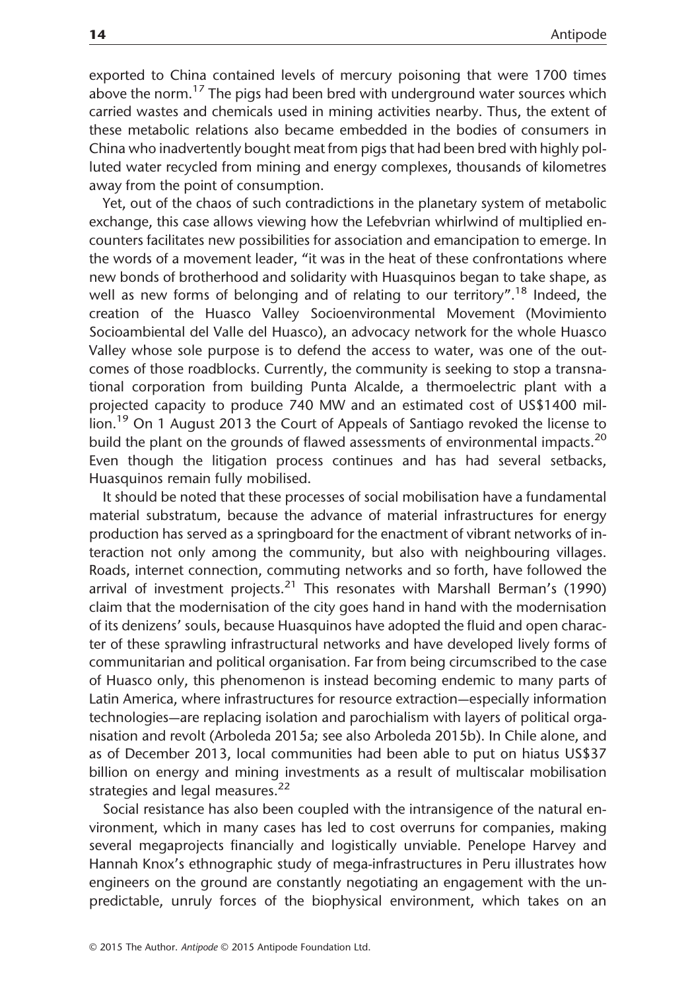exported to China contained levels of mercury poisoning that were 1700 times above the norm.<sup>17</sup> The pigs had been bred with underground water sources which carried wastes and chemicals used in mining activities nearby. Thus, the extent of these metabolic relations also became embedded in the bodies of consumers in China who inadvertently bought meat from pigs that had been bred with highly polluted water recycled from mining and energy complexes, thousands of kilometres away from the point of consumption.

Yet, out of the chaos of such contradictions in the planetary system of metabolic exchange, this case allows viewing how the Lefebvrian whirlwind of multiplied encounters facilitates new possibilities for association and emancipation to emerge. In the words of a movement leader, "it was in the heat of these confrontations where new bonds of brotherhood and solidarity with Huasquinos began to take shape, as well as new forms of belonging and of relating to our territory". <sup>18</sup> Indeed, the creation of the Huasco Valley Socioenvironmental Movement (Movimiento Socioambiental del Valle del Huasco), an advocacy network for the whole Huasco Valley whose sole purpose is to defend the access to water, was one of the outcomes of those roadblocks. Currently, the community is seeking to stop a transnational corporation from building Punta Alcalde, a thermoelectric plant with a projected capacity to produce 740 MW and an estimated cost of US\$1400 million.<sup>19</sup> On 1 August 2013 the Court of Appeals of Santiago revoked the license to build the plant on the grounds of flawed assessments of environmental impacts.<sup>20</sup> Even though the litigation process continues and has had several setbacks, Huasquinos remain fully mobilised.

It should be noted that these processes of social mobilisation have a fundamental material substratum, because the advance of material infrastructures for energy production has served as a springboard for the enactment of vibrant networks of interaction not only among the community, but also with neighbouring villages. Roads, internet connection, commuting networks and so forth, have followed the arrival of investment projects.<sup>21</sup> This resonates with Marshall Berman's (1990) claim that the modernisation of the city goes hand in hand with the modernisation of its denizens' souls, because Huasquinos have adopted the fluid and open character of these sprawling infrastructural networks and have developed lively forms of communitarian and political organisation. Far from being circumscribed to the case of Huasco only, this phenomenon is instead becoming endemic to many parts of Latin America, where infrastructures for resource extraction—especially information technologies—are replacing isolation and parochialism with layers of political organisation and revolt (Arboleda 2015a; see also Arboleda 2015b). In Chile alone, and as of December 2013, local communities had been able to put on hiatus US\$37 billion on energy and mining investments as a result of multiscalar mobilisation strategies and legal measures.<sup>22</sup>

Social resistance has also been coupled with the intransigence of the natural environment, which in many cases has led to cost overruns for companies, making several megaprojects financially and logistically unviable. Penelope Harvey and Hannah Knox's ethnographic study of mega-infrastructures in Peru illustrates how engineers on the ground are constantly negotiating an engagement with the unpredictable, unruly forces of the biophysical environment, which takes on an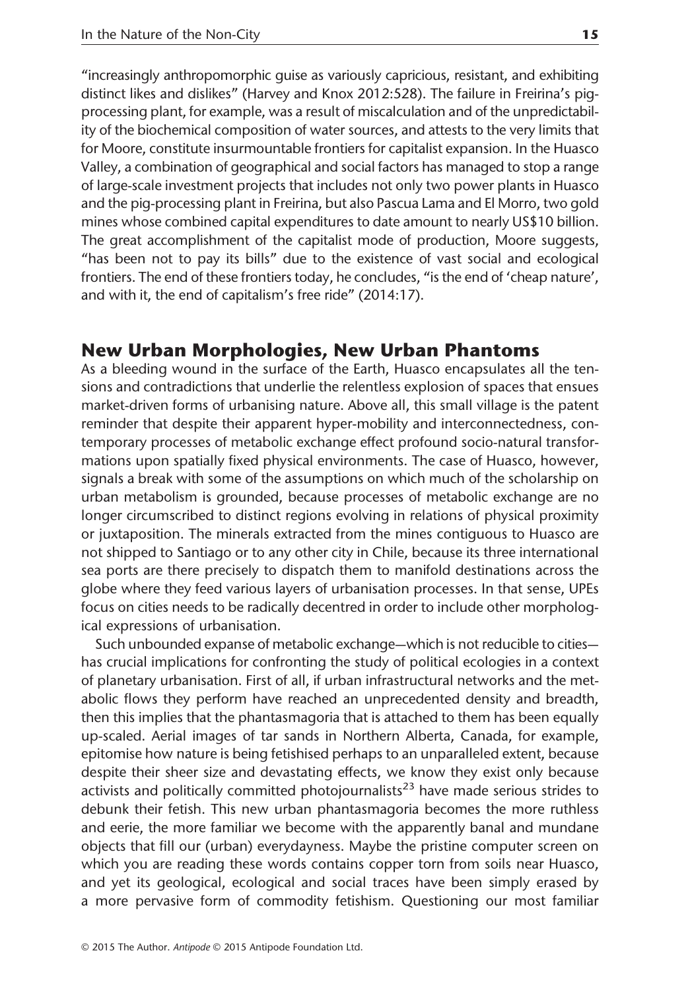"increasingly anthropomorphic guise as variously capricious, resistant, and exhibiting distinct likes and dislikes" (Harvey and Knox 2012:528). The failure in Freirina's pigprocessing plant, for example, was a result of miscalculation and of the unpredictability of the biochemical composition of water sources, and attests to the very limits that for Moore, constitute insurmountable frontiers for capitalist expansion. In the Huasco Valley, a combination of geographical and social factors has managed to stop a range of large-scale investment projects that includes not only two power plants in Huasco and the pig-processing plant in Freirina, but also Pascua Lama and El Morro, two gold mines whose combined capital expenditures to date amount to nearly US\$10 billion. The great accomplishment of the capitalist mode of production, Moore suggests, "has been not to pay its bills" due to the existence of vast social and ecological frontiers. The end of these frontiers today, he concludes, "is the end of 'cheap nature', and with it, the end of capitalism's free ride" (2014:17).

#### New Urban Morphologies, New Urban Phantoms

As a bleeding wound in the surface of the Earth, Huasco encapsulates all the tensions and contradictions that underlie the relentless explosion of spaces that ensues market-driven forms of urbanising nature. Above all, this small village is the patent reminder that despite their apparent hyper-mobility and interconnectedness, contemporary processes of metabolic exchange effect profound socio-natural transformations upon spatially fixed physical environments. The case of Huasco, however, signals a break with some of the assumptions on which much of the scholarship on urban metabolism is grounded, because processes of metabolic exchange are no longer circumscribed to distinct regions evolving in relations of physical proximity or juxtaposition. The minerals extracted from the mines contiguous to Huasco are not shipped to Santiago or to any other city in Chile, because its three international sea ports are there precisely to dispatch them to manifold destinations across the globe where they feed various layers of urbanisation processes. In that sense, UPEs focus on cities needs to be radically decentred in order to include other morphological expressions of urbanisation.

Such unbounded expanse of metabolic exchange—which is not reducible to cities has crucial implications for confronting the study of political ecologies in a context of planetary urbanisation. First of all, if urban infrastructural networks and the metabolic flows they perform have reached an unprecedented density and breadth, then this implies that the phantasmagoria that is attached to them has been equally up-scaled. Aerial images of tar sands in Northern Alberta, Canada, for example, epitomise how nature is being fetishised perhaps to an unparalleled extent, because despite their sheer size and devastating effects, we know they exist only because activists and politically committed photojournalists<sup>23</sup> have made serious strides to debunk their fetish. This new urban phantasmagoria becomes the more ruthless and eerie, the more familiar we become with the apparently banal and mundane objects that fill our (urban) everydayness. Maybe the pristine computer screen on which you are reading these words contains copper torn from soils near Huasco, and yet its geological, ecological and social traces have been simply erased by a more pervasive form of commodity fetishism. Questioning our most familiar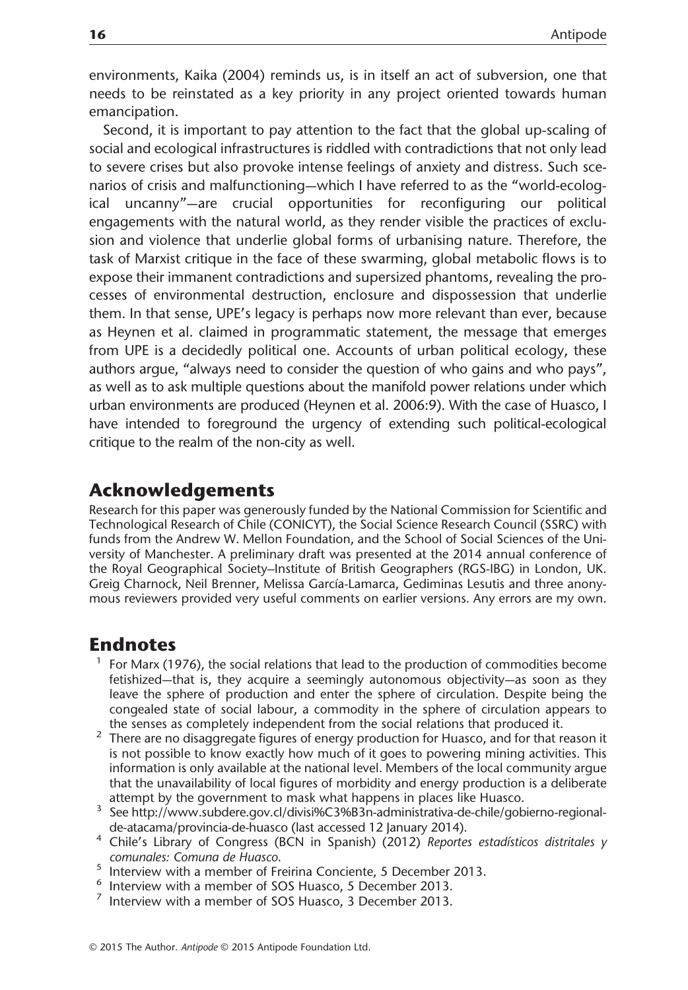environments, Kaika (2004) reminds us, is in itself an act of subversion, one that needs to be reinstated as a key priority in any project oriented towards human emancipation.

Second, it is important to pay attention to the fact that the global up-scaling of social and ecological infrastructures is riddled with contradictions that not only lead to severe crises but also provoke intense feelings of anxiety and distress. Such scenarios of crisis and malfunctioning—which I have referred to as the "world-ecological uncanny"—are crucial opportunities for reconfiguring our political engagements with the natural world, as they render visible the practices of exclusion and violence that underlie global forms of urbanising nature. Therefore, the task of Marxist critique in the face of these swarming, global metabolic flows is to expose their immanent contradictions and supersized phantoms, revealing the processes of environmental destruction, enclosure and dispossession that underlie them. In that sense, UPE's legacy is perhaps now more relevant than ever, because as Heynen et al. claimed in programmatic statement, the message that emerges from UPE is a decidedly political one. Accounts of urban political ecology, these authors argue, "always need to consider the question of who gains and who pays", as well as to ask multiple questions about the manifold power relations under which urban environments are produced (Heynen et al. 2006:9). With the case of Huasco, I have intended to foreground the urgency of extending such political-ecological critique to the realm of the non-city as well.

## Acknowledgements

Research for this paper was generously funded by the National Commission for Scientific and Technological Research of Chile (CONICYT), the Social Science Research Council (SSRC) with funds from the Andrew W. Mellon Foundation, and the School of Social Sciences of the University of Manchester. A preliminary draft was presented at the 2014 annual conference of the Royal Geographical Society–Institute of British Geographers (RGS-IBG) in London, UK. Greig Charnock, Neil Brenner, Melissa García-Lamarca, Gediminas Lesutis and three anonymous reviewers provided very useful comments on earlier versions. Any errors are my own.

#### **Endnotes**

- <sup>1</sup> For Marx (1976), the social relations that lead to the production of commodities become fetishized—that is, they acquire a seemingly autonomous objectivity—as soon as they leave the sphere of production and enter the sphere of circulation. Despite being the congealed state of social labour, a commodity in the sphere of circulation appears to the senses as completely independent from the social relations that produced it.
- the senses as completely independent from the social relations that produced it. <sup>2</sup> There are no disaggregate figures of energy production for Huasco, and for that reason it is not possible to know exactly how much of it goes to powering mining activities. This information is only available at the national level. Members of the local community argue that the unavailability of local figures of morbidity and energy production is a deliberate attempt by the government to mask what happens in places like Huasco.
- attempt by the government of masks are happens in plances are http://www.subdere.gov.cl/divisi%C3%B3n-administrativa-de-chile/gobierno-regional-<br>de-atacama/provincia-de-huasco. (last accessed 12 January 2014).
- <sup>4</sup> Chile's Library of Congress (BCN in Spanish) (2012) Reportes estadísticos distritales y comunales: Comuna de Huasco.
- <sup>5</sup> Interview with a member of Freirina Conciente, 5 December 2013.<br><sup>6</sup> Interview with a member of SOS Huasco, 5 December 2013.<br><sup>7</sup> Interview with a member of SOS Huasco, 3 December 2013.
- 
-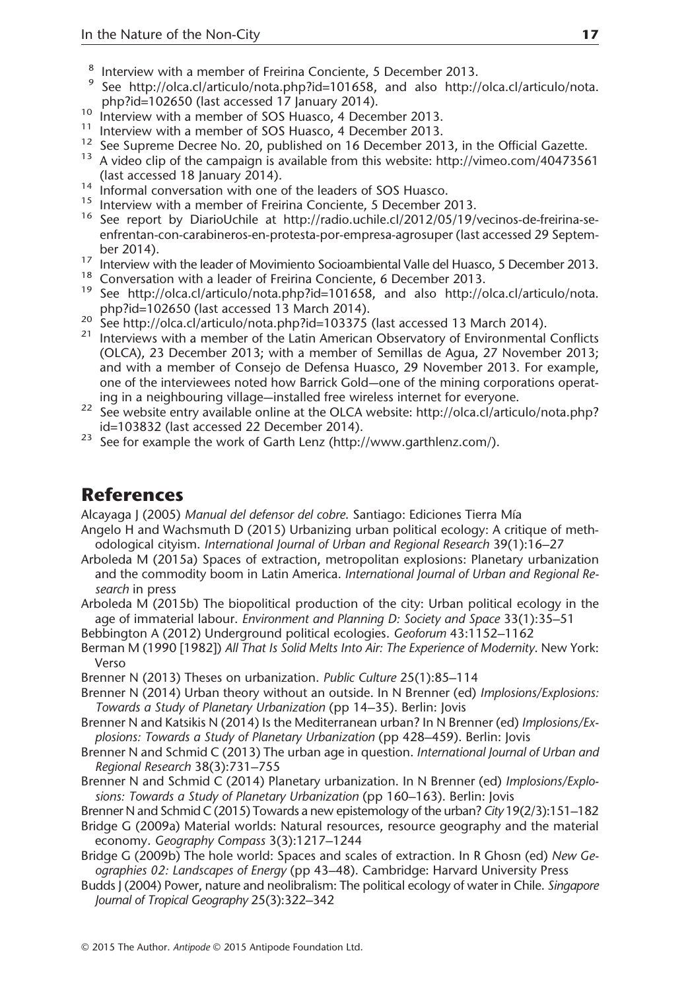- 
- <sup>8</sup> Interview with a member of Freirina Conciente, 5 December 2013.<br>
<sup>9</sup> See http://olca.cl/articulo/nota.php?id=101658, and also http://olca.cl/articulo/nota.<br>
php?id=102650 (last accessed 17 Ianuary 2014).
- 
- 
- 
- <sup>10</sup> Interview with a member of SOS Huasco, 4 December 2013.<br><sup>11</sup> Interview with a member of SOS Huasco, 4 December 2013.<br><sup>12</sup> See Supreme Decree No. 20, published on 16 December 2013, in the Official Gazette.<br><sup>13</sup> A video
- 
- 
- <sup>14</sup> Informal conversation with one of the leaders of SOS Huasco.<br><sup>15</sup> Interview with a member of Freirina Conciente, 5 December 2013.<br><sup>16</sup> See report by DiarioUchile at http://radio.uchile.cl/2012/05/19/vecinos-de-freiri enfrentan-con-carabineros-en-protesta-por-empresa-agrosuper (last accessed 29 Septem-
- 
- 
- ber 2014).<br>
<sup>17</sup> Interview with the leader of Movimiento Socioambiental Valle del Huasco, 5 December 2013.<br>
<sup>18</sup> Conversation with a leader of Freirina Conciente, 6 December 2013.<br>
<sup>19</sup> See http://olca.cl/articulo/nota.php
- php?id=102650 (last accessed 13 March 2014). <sup>20</sup> See http://olca.cl/articulo/nota.php?id=103375 (last accessed 13 March 2014). <sup>21</sup> Interviews with a member of the Latin American Observatory of Environmental Conflicts
- (OLCA), 23 December 2013; with a member of Semillas de Agua, 27 November 2013; and with a member of Consejo de Defensa Huasco, 29 November 2013. For example, one of the interviewees noted how Barrick Gold—one of the mining corporations operating in a neighbouring village—installed free wireless internet for everyone.
- ing in a neighbouring village.<br>
<sup>22</sup> See website entry available online at the OLCA website: http://olca.cl/articulo/nota.php?<br>
id=103832 (last accessed 22 December 2014).
- <sup>23</sup> See for example the work of Garth Lenz (<http://www.garthlenz.com>/).

#### References

Alcayaga J (2005) Manual del defensor del cobre. Santiago: Ediciones Tierra Mía

- Angelo H and Wachsmuth D (2015) Urbanizing urban political ecology: A critique of methodological cityism. International Journal of Urban and Regional Research 39(1):16–27
- Arboleda M (2015a) Spaces of extraction, metropolitan explosions: Planetary urbanization and the commodity boom in Latin America. International Journal of Urban and Regional Research in press
- Arboleda M (2015b) The biopolitical production of the city: Urban political ecology in the age of immaterial labour. Environment and Planning D: Society and Space 33(1):35–51
- Bebbington A (2012) Underground political ecologies. Geoforum 43:1152–1162
- Berman M (1990 [1982]) All That Is Solid Melts Into Air: The Experience of Modernity. New York: Verso
- Brenner N (2013) Theses on urbanization. Public Culture 25(1):85–114
- Brenner N (2014) Urban theory without an outside. In N Brenner (ed) Implosions/Explosions: Towards a Study of Planetary Urbanization (pp 14–35). Berlin: Jovis
- Brenner N and Katsikis N (2014) Is the Mediterranean urban? In N Brenner (ed) Implosions/Explosions: Towards a Study of Planetary Urbanization (pp 428–459). Berlin: Jovis
- Brenner N and Schmid C (2013) The urban age in question. International Journal of Urban and Regional Research 38(3):731–755
- Brenner N and Schmid C (2014) Planetary urbanization. In N Brenner (ed) Implosions/Explosions: Towards a Study of Planetary Urbanization (pp 160–163). Berlin: Jovis

Brenner N and Schmid C (2015) Towards a new epistemology of the urban? City 19(2/3):151–182

- Bridge G (2009a) Material worlds: Natural resources, resource geography and the material economy. Geography Compass 3(3):1217–1244
- Bridge G (2009b) The hole world: Spaces and scales of extraction. In R Ghosn (ed) New Geographies 02: Landscapes of Energy (pp 43–48). Cambridge: Harvard University Press
- Budds J (2004) Power, nature and neolibralism: The political ecology of water in Chile. Singapore Journal of Tropical Geography 25(3):322–342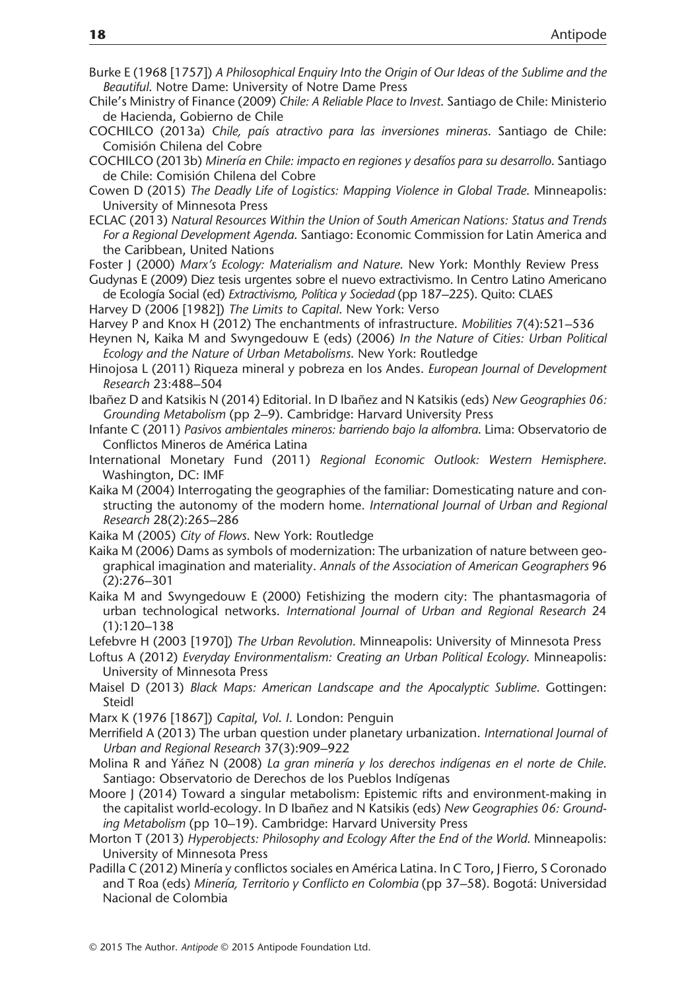- Burke E (1968 [1757]) A Philosophical Enquiry Into the Origin of Our Ideas of the Sublime and the Beautiful. Notre Dame: University of Notre Dame Press
- Chile's Ministry of Finance (2009) Chile: A Reliable Place to Invest. Santiago de Chile: Ministerio de Hacienda, Gobierno de Chile
- COCHILCO (2013a) Chile, país atractivo para las inversiones mineras. Santiago de Chile: Comisión Chilena del Cobre
- COCHILCO (2013b) Minería en Chile: impacto en regiones y desafíos para su desarrollo. Santiago de Chile: Comisión Chilena del Cobre
- Cowen D (2015) The Deadly Life of Logistics: Mapping Violence in Global Trade. Minneapolis: University of Minnesota Press
- ECLAC (2013) Natural Resources Within the Union of South American Nations: Status and Trends For a Regional Development Agenda. Santiago: Economic Commission for Latin America and the Caribbean, United Nations
- Foster J (2000) Marx's Ecology: Materialism and Nature. New York: Monthly Review Press
- Gudynas E (2009) Diez tesis urgentes sobre el nuevo extractivismo. In Centro Latino Americano de Ecología Social (ed) Extractivismo, Política y Sociedad (pp 187–225). Quito: CLAES
- Harvey D (2006 [1982]) The Limits to Capital. New York: Verso
- Harvey P and Knox H (2012) The enchantments of infrastructure. Mobilities 7(4):521-536
- Heynen N, Kaika M and Swyngedouw E (eds) (2006) In the Nature of Cities: Urban Political Ecology and the Nature of Urban Metabolisms. New York: Routledge
- Hinojosa L (2011) Riqueza mineral y pobreza en los Andes. European Journal of Development Research 23:488–504
- Ibañez D and Katsikis N (2014) Editorial. In D Ibañez and N Katsikis (eds) New Geographies 06: Grounding Metabolism (pp 2–9). Cambridge: Harvard University Press
- Infante C (2011) Pasivos ambientales mineros: barriendo bajo la alfombra. Lima: Observatorio de Conflictos Mineros de América Latina
- International Monetary Fund (2011) Regional Economic Outlook: Western Hemisphere. Washington, DC: IMF
- Kaika M (2004) Interrogating the geographies of the familiar: Domesticating nature and constructing the autonomy of the modern home. International Journal of Urban and Regional Research 28(2):265–286
- Kaika M (2005) City of Flows. New York: Routledge
- Kaika M (2006) Dams as symbols of modernization: The urbanization of nature between geographical imagination and materiality. Annals of the Association of American Geographers 96 (2):276–301
- Kaika M and Swyngedouw E (2000) Fetishizing the modern city: The phantasmagoria of urban technological networks. International Journal of Urban and Regional Research 24 (1):120–138
- Lefebvre H (2003 [1970]) The Urban Revolution. Minneapolis: University of Minnesota Press
- Loftus A (2012) Everyday Environmentalism: Creating an Urban Political Ecology. Minneapolis: University of Minnesota Press
- Maisel D (2013) Black Maps: American Landscape and the Apocalyptic Sublime. Gottingen: Steidl
- Marx K (1976 [1867]) Capital, Vol. I. London: Penguin
- Merrifield A (2013) The urban question under planetary urbanization. International Journal of Urban and Regional Research 37(3):909–922
- Molina R and Yáñez N (2008) La gran minería y los derechos indígenas en el norte de Chile. Santiago: Observatorio de Derechos de los Pueblos Indígenas
- Moore J (2014) Toward a singular metabolism: Epistemic rifts and environment-making in the capitalist world-ecology. In D Ibañez and N Katsikis (eds) New Geographies 06: Grounding Metabolism (pp 10–19). Cambridge: Harvard University Press
- Morton T (2013) Hyperobjects: Philosophy and Ecology After the End of the World. Minneapolis: University of Minnesota Press
- Padilla C (2012) Minería y conflictos sociales en América Latina. In C Toro, J Fierro, S Coronado and T Roa (eds) Minería, Territorio y Conflicto en Colombia (pp 37–58). Bogotá: Universidad Nacional de Colombia